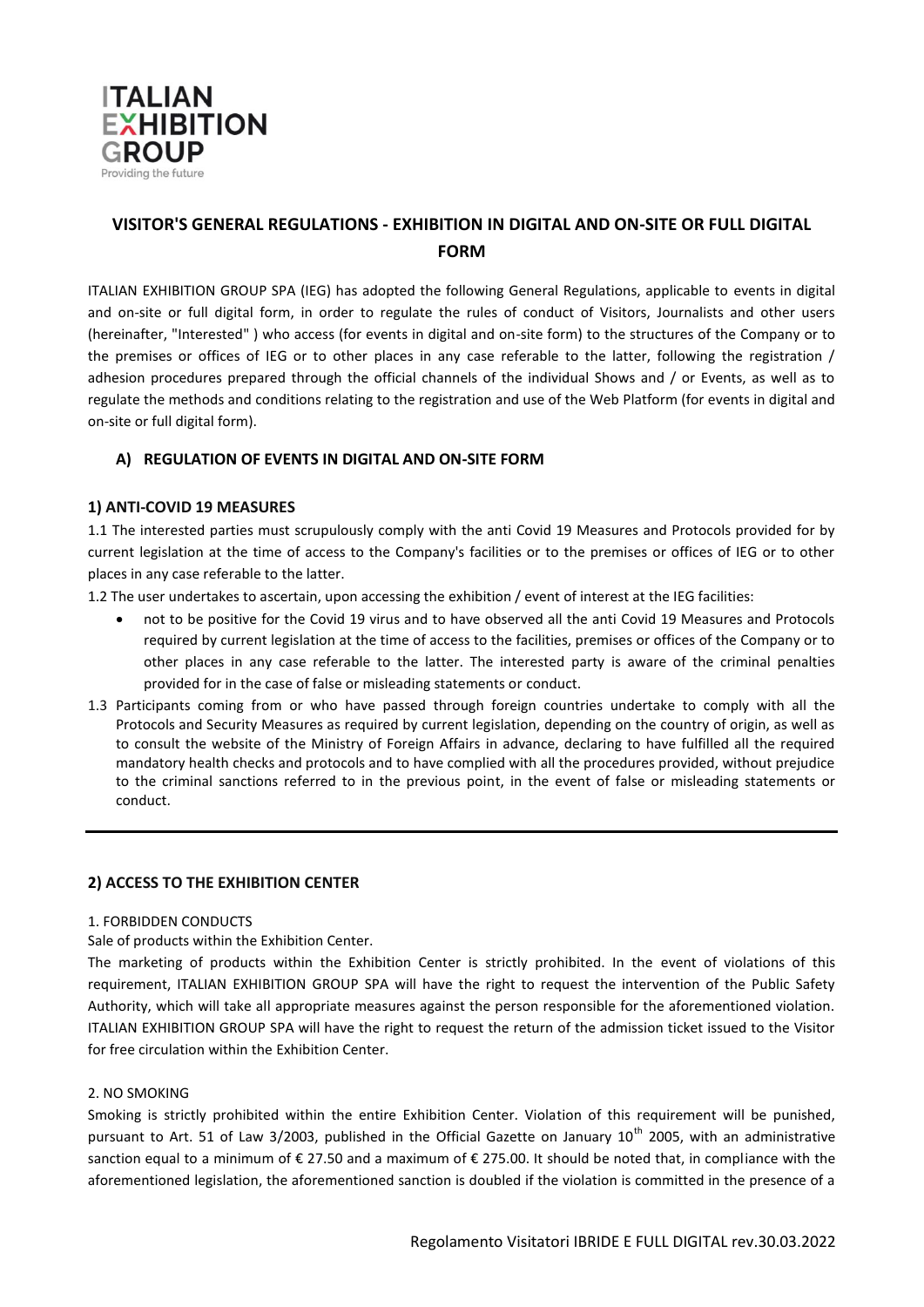

# **VISITOR'S GENERAL REGULATIONS - EXHIBITION IN DIGITAL AND ON-SITE OR FULL DIGITAL FORM**

ITALIAN EXHIBITION GROUP SPA (IEG) has adopted the following General Regulations, applicable to events in digital and on-site or full digital form, in order to regulate the rules of conduct of Visitors, Journalists and other users (hereinafter, "Interested" ) who access (for events in digital and on-site form) to the structures of the Company or to the premises or offices of IEG or to other places in any case referable to the latter, following the registration / adhesion procedures prepared through the official channels of the individual Shows and / or Events, as well as to regulate the methods and conditions relating to the registration and use of the Web Platform (for events in digital and on-site or full digital form).

# **A) REGULATION OF EVENTS IN DIGITAL AND ON-SITE FORM**

## **1) ANTI-COVID 19 MEASURES**

1.1 The interested parties must scrupulously comply with the anti Covid 19 Measures and Protocols provided for by current legislation at the time of access to the Company's facilities or to the premises or offices of IEG or to other places in any case referable to the latter.

1.2 The user undertakes to ascertain, upon accessing the exhibition / event of interest at the IEG facilities:

- not to be positive for the Covid 19 virus and to have observed all the anti Covid 19 Measures and Protocols required by current legislation at the time of access to the facilities, premises or offices of the Company or to other places in any case referable to the latter. The interested party is aware of the criminal penalties provided for in the case of false or misleading statements or conduct.
- 1.3 Participants coming from or who have passed through foreign countries undertake to comply with all the Protocols and Security Measures as required by current legislation, depending on the country of origin, as well as to consult the website of the Ministry of Foreign Affairs in advance, declaring to have fulfilled all the required mandatory health checks and protocols and to have complied with all the procedures provided, without prejudice to the criminal sanctions referred to in the previous point, in the event of false or misleading statements or conduct.

## **2) ACCESS TO THE EXHIBITION CENTER**

### 1. FORBIDDEN CONDUCTS

Sale of products within the Exhibition Center.

The marketing of products within the Exhibition Center is strictly prohibited. In the event of violations of this requirement, ITALIAN EXHIBITION GROUP SPA will have the right to request the intervention of the Public Safety Authority, which will take all appropriate measures against the person responsible for the aforementioned violation. ITALIAN EXHIBITION GROUP SPA will have the right to request the return of the admission ticket issued to the Visitor for free circulation within the Exhibition Center.

### 2. NO SMOKING

Smoking is strictly prohibited within the entire Exhibition Center. Violation of this requirement will be punished, pursuant to Art. 51 of Law 3/2003, published in the Official Gazette on January 10<sup>th</sup> 2005, with an administrative sanction equal to a minimum of € 27.50 and a maximum of € 275.00. It should be noted that, in compliance with the aforementioned legislation, the aforementioned sanction is doubled if the violation is committed in the presence of a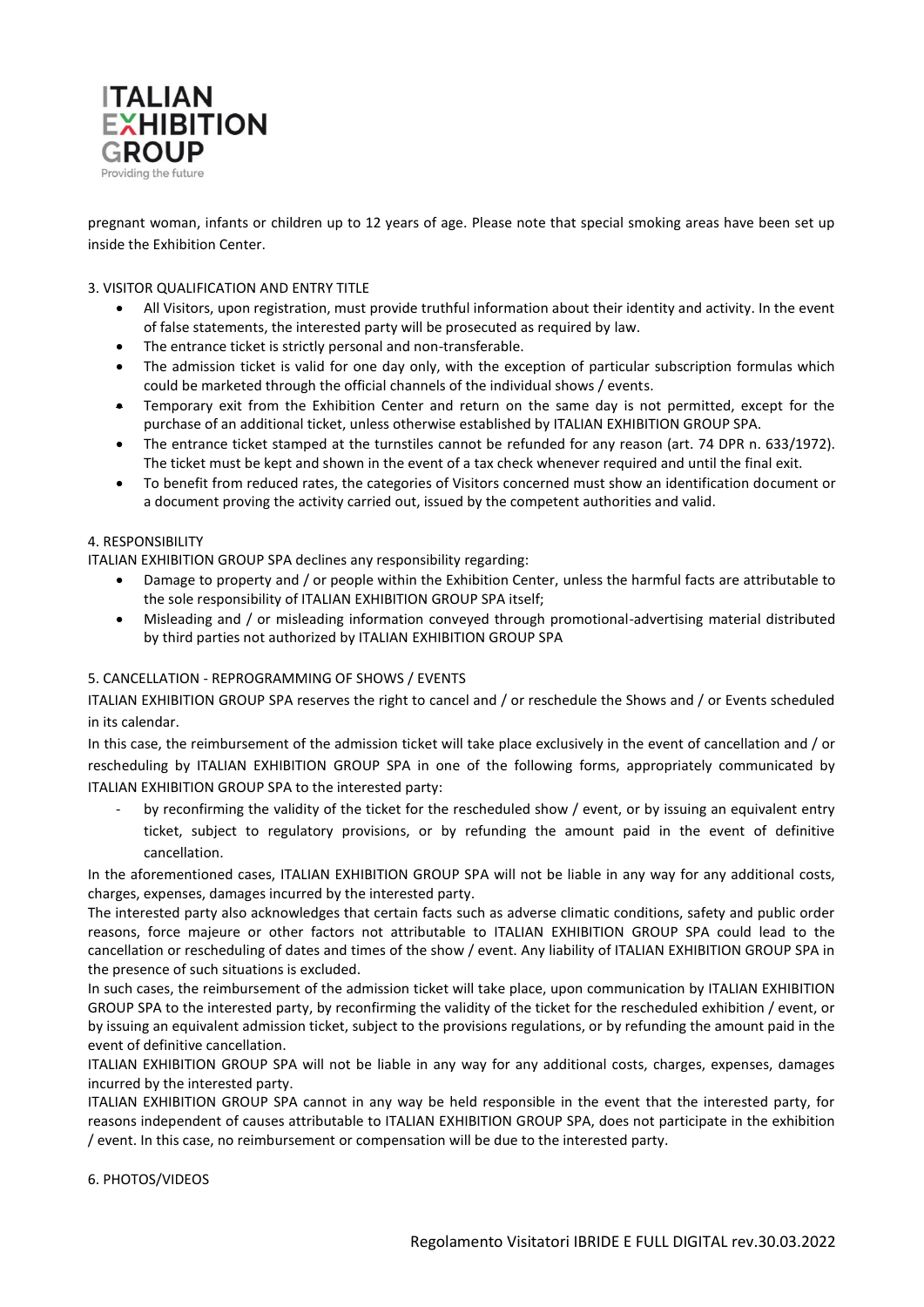

pregnant woman, infants or children up to 12 years of age. Please note that special smoking areas have been set up inside the Exhibition Center.

### 3. VISITOR QUALIFICATION AND ENTRY TITLE

- All Visitors, upon registration, must provide truthful information about their identity and activity. In the event of false statements, the interested party will be prosecuted as required by law.
- The entrance ticket is strictly personal and non-transferable.
- The admission ticket is valid for one day only, with the exception of particular subscription formulas which could be marketed through the official channels of the individual shows / events.
- Temporary exit from the Exhibition Center and return on the same day is not permitted, except for the purchase of an additional ticket, unless otherwise established by ITALIAN EXHIBITION GROUP SPA.
- The entrance ticket stamped at the turnstiles cannot be refunded for any reason (art. 74 DPR n. 633/1972). The ticket must be kept and shown in the event of a tax check whenever required and until the final exit.
- To benefit from reduced rates, the categories of Visitors concerned must show an identification document or a document proving the activity carried out, issued by the competent authorities and valid.

### 4. RESPONSIBILITY

ITALIAN EXHIBITION GROUP SPA declines any responsibility regarding:

- Damage to property and / or people within the Exhibition Center, unless the harmful facts are attributable to the sole responsibility of ITALIAN EXHIBITION GROUP SPA itself;
- Misleading and / or misleading information conveyed through promotional-advertising material distributed by third parties not authorized by ITALIAN EXHIBITION GROUP SPA

### 5. CANCELLATION - REPROGRAMMING OF SHOWS / EVENTS

ITALIAN EXHIBITION GROUP SPA reserves the right to cancel and / or reschedule the Shows and / or Events scheduled in its calendar.

In this case, the reimbursement of the admission ticket will take place exclusively in the event of cancellation and / or rescheduling by ITALIAN EXHIBITION GROUP SPA in one of the following forms, appropriately communicated by ITALIAN EXHIBITION GROUP SPA to the interested party:

by reconfirming the validity of the ticket for the rescheduled show / event, or by issuing an equivalent entry ticket, subject to regulatory provisions, or by refunding the amount paid in the event of definitive cancellation.

In the aforementioned cases, ITALIAN EXHIBITION GROUP SPA will not be liable in any way for any additional costs, charges, expenses, damages incurred by the interested party.

The interested party also acknowledges that certain facts such as adverse climatic conditions, safety and public order reasons, force majeure or other factors not attributable to ITALIAN EXHIBITION GROUP SPA could lead to the cancellation or rescheduling of dates and times of the show / event. Any liability of ITALIAN EXHIBITION GROUP SPA in the presence of such situations is excluded.

In such cases, the reimbursement of the admission ticket will take place, upon communication by ITALIAN EXHIBITION GROUP SPA to the interested party, by reconfirming the validity of the ticket for the rescheduled exhibition / event, or by issuing an equivalent admission ticket, subject to the provisions regulations, or by refunding the amount paid in the event of definitive cancellation.

ITALIAN EXHIBITION GROUP SPA will not be liable in any way for any additional costs, charges, expenses, damages incurred by the interested party.

ITALIAN EXHIBITION GROUP SPA cannot in any way be held responsible in the event that the interested party, for reasons independent of causes attributable to ITALIAN EXHIBITION GROUP SPA, does not participate in the exhibition / event. In this case, no reimbursement or compensation will be due to the interested party.

6. PHOTOS/VIDEOS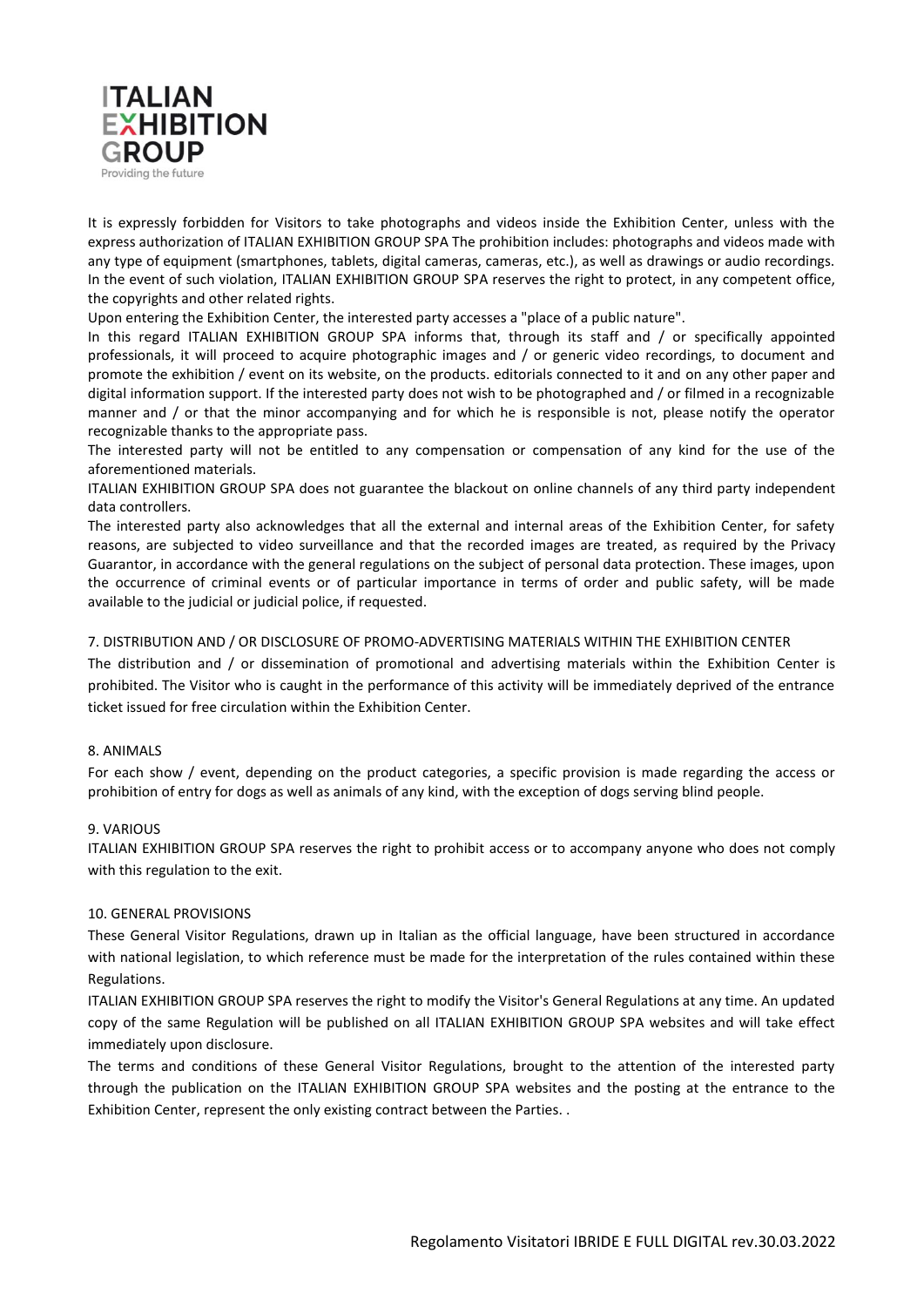

It is expressly forbidden for Visitors to take photographs and videos inside the Exhibition Center, unless with the express authorization of ITALIAN EXHIBITION GROUP SPA The prohibition includes: photographs and videos made with any type of equipment (smartphones, tablets, digital cameras, cameras, etc.), as well as drawings or audio recordings. In the event of such violation, ITALIAN EXHIBITION GROUP SPA reserves the right to protect, in any competent office, the copyrights and other related rights.

Upon entering the Exhibition Center, the interested party accesses a "place of a public nature".

In this regard ITALIAN EXHIBITION GROUP SPA informs that, through its staff and / or specifically appointed professionals, it will proceed to acquire photographic images and / or generic video recordings, to document and promote the exhibition / event on its website, on the products. editorials connected to it and on any other paper and digital information support. If the interested party does not wish to be photographed and / or filmed in a recognizable manner and / or that the minor accompanying and for which he is responsible is not, please notify the operator recognizable thanks to the appropriate pass.

The interested party will not be entitled to any compensation or compensation of any kind for the use of the aforementioned materials.

ITALIAN EXHIBITION GROUP SPA does not guarantee the blackout on online channels of any third party independent data controllers.

The interested party also acknowledges that all the external and internal areas of the Exhibition Center, for safety reasons, are subjected to video surveillance and that the recorded images are treated, as required by the Privacy Guarantor, in accordance with the general regulations on the subject of personal data protection. These images, upon the occurrence of criminal events or of particular importance in terms of order and public safety, will be made available to the judicial or judicial police, if requested.

### 7. DISTRIBUTION AND / OR DISCLOSURE OF PROMO-ADVERTISING MATERIALS WITHIN THE EXHIBITION CENTER

The distribution and / or dissemination of promotional and advertising materials within the Exhibition Center is prohibited. The Visitor who is caught in the performance of this activity will be immediately deprived of the entrance ticket issued for free circulation within the Exhibition Center.

### 8. ANIMALS

For each show / event, depending on the product categories, a specific provision is made regarding the access or prohibition of entry for dogs as well as animals of any kind, with the exception of dogs serving blind people.

### 9. VARIOUS

ITALIAN EXHIBITION GROUP SPA reserves the right to prohibit access or to accompany anyone who does not comply with this regulation to the exit.

### 10. GENERAL PROVISIONS

These General Visitor Regulations, drawn up in Italian as the official language, have been structured in accordance with national legislation, to which reference must be made for the interpretation of the rules contained within these Regulations.

ITALIAN EXHIBITION GROUP SPA reserves the right to modify the Visitor's General Regulations at any time. An updated copy of the same Regulation will be published on all ITALIAN EXHIBITION GROUP SPA websites and will take effect immediately upon disclosure.

The terms and conditions of these General Visitor Regulations, brought to the attention of the interested party through the publication on the ITALIAN EXHIBITION GROUP SPA websites and the posting at the entrance to the Exhibition Center, represent the only existing contract between the Parties. .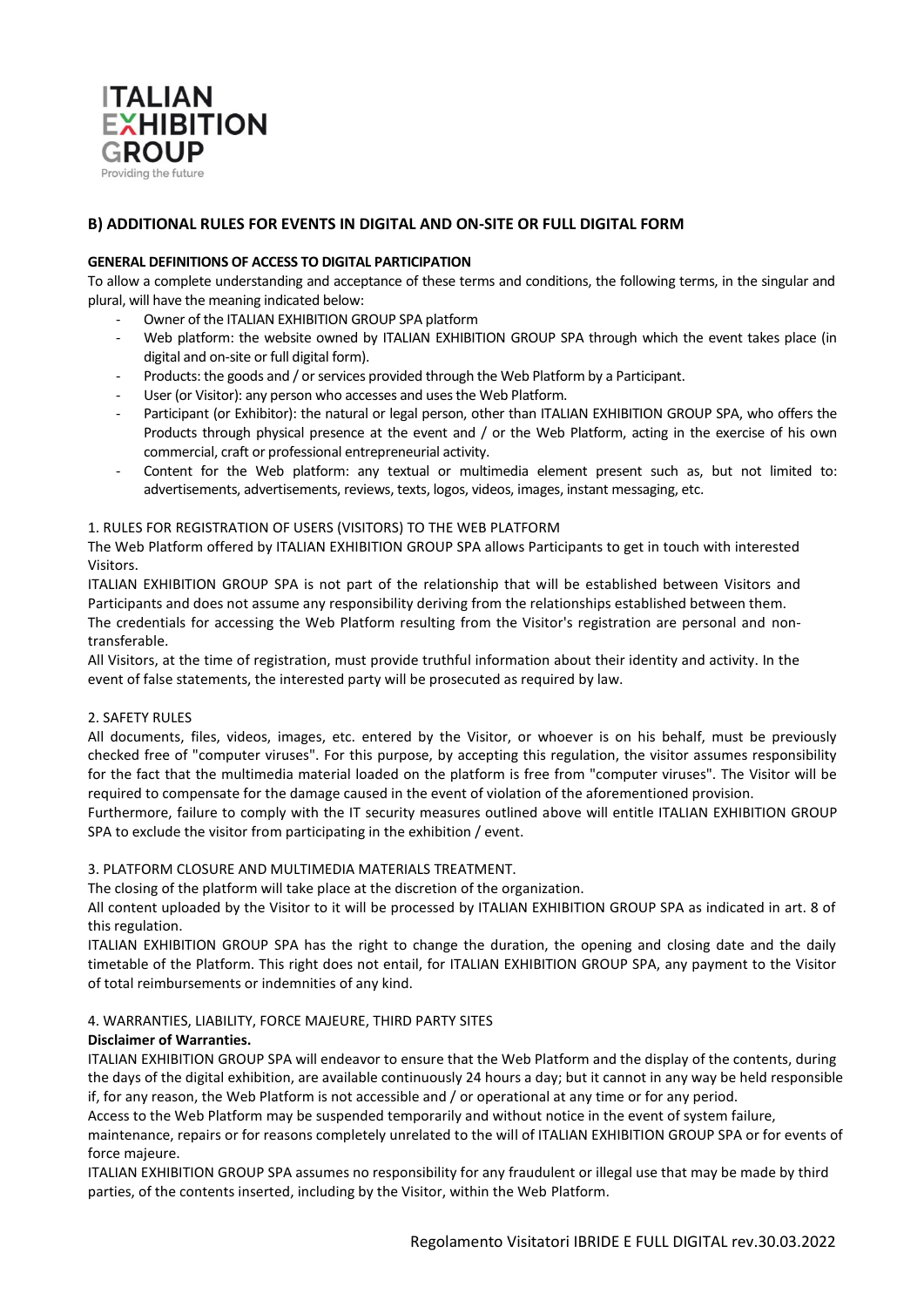

# **B) ADDITIONAL RULES FOR EVENTS IN DIGITAL AND ON-SITE OR FULL DIGITAL FORM**

### **GENERAL DEFINITIONS OF ACCESS TO DIGITAL PARTICIPATION**

To allow a complete understanding and acceptance of these terms and conditions, the following terms, in the singular and plural, will have the meaning indicated below:

- Owner of the ITALIAN EXHIBITION GROUP SPA platform
- Web platform: the website owned by ITALIAN EXHIBITION GROUP SPA through which the event takes place (in digital and on-site or full digital form).
- Products: the goods and / or services provided through the Web Platform by a Participant.
- User (or Visitor): any person who accesses and uses the Web Platform.
- Participant (or Exhibitor): the natural or legal person, other than ITALIAN EXHIBITION GROUP SPA, who offers the Products through physical presence at the event and / or the Web Platform, acting in the exercise of his own commercial, craft or professional entrepreneurial activity.
- Content for the Web platform: any textual or multimedia element present such as, but not limited to: advertisements, advertisements, reviews, texts, logos, videos, images, instant messaging, etc.

#### 1. RULES FOR REGISTRATION OF USERS (VISITORS) TO THE WEB PLATFORM

The Web Platform offered by ITALIAN EXHIBITION GROUP SPA allows Participants to get in touch with interested Visitors.

ITALIAN EXHIBITION GROUP SPA is not part of the relationship that will be established between Visitors and Participants and does not assume any responsibility deriving from the relationships established between them. The credentials for accessing the Web Platform resulting from the Visitor's registration are personal and nontransferable.

All Visitors, at the time of registration, must provide truthful information about their identity and activity. In the event of false statements, the interested party will be prosecuted as required by law.

### 2. SAFETY RULES

All documents, files, videos, images, etc. entered by the Visitor, or whoever is on his behalf, must be previously checked free of "computer viruses". For this purpose, by accepting this regulation, the visitor assumes responsibility for the fact that the multimedia material loaded on the platform is free from "computer viruses". The Visitor will be required to compensate for the damage caused in the event of violation of the aforementioned provision.

Furthermore, failure to comply with the IT security measures outlined above will entitle ITALIAN EXHIBITION GROUP SPA to exclude the visitor from participating in the exhibition / event.

### 3. PLATFORM CLOSURE AND MULTIMEDIA MATERIALS TREATMENT.

The closing of the platform will take place at the discretion of the organization.

All content uploaded by the Visitor to it will be processed by ITALIAN EXHIBITION GROUP SPA as indicated in art. 8 of this regulation.

ITALIAN EXHIBITION GROUP SPA has the right to change the duration, the opening and closing date and the daily timetable of the Platform. This right does not entail, for ITALIAN EXHIBITION GROUP SPA, any payment to the Visitor of total reimbursements or indemnities of any kind.

### 4. WARRANTIES, LIABILITY, FORCE MAJEURE, THIRD PARTY SITES

### **Disclaimer of Warranties.**

ITALIAN EXHIBITION GROUP SPA will endeavor to ensure that the Web Platform and the display of the contents, during the days of the digital exhibition, are available continuously 24 hours a day; but it cannot in any way be held responsible if, for any reason, the Web Platform is not accessible and / or operational at any time or for any period.

Access to the Web Platform may be suspended temporarily and without notice in the event of system failure,

maintenance, repairs or for reasons completely unrelated to the will of ITALIAN EXHIBITION GROUP SPA or for events of force majeure.

ITALIAN EXHIBITION GROUP SPA assumes no responsibility for any fraudulent or illegal use that may be made by third parties, of the contents inserted, including by the Visitor, within the Web Platform.